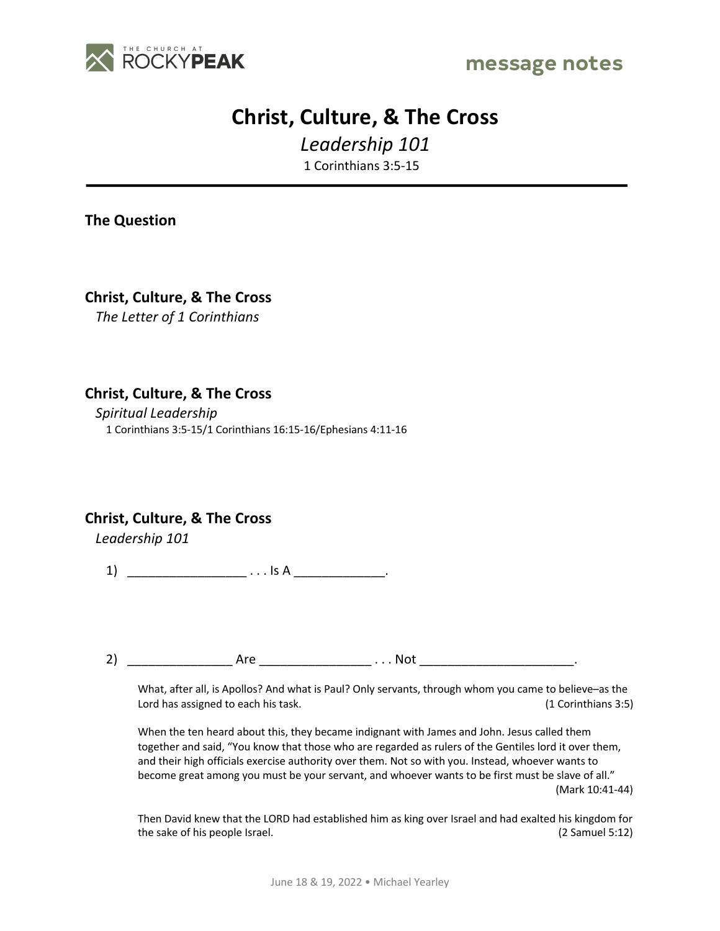

## **Christ, Culture, & The Cross**

*Leadership 101*

1 Corinthians 3:5-15

**The Question**

**Christ, Culture, & The Cross**

*The Letter of 1 Corinthians*

**Christ, Culture, & The Cross**

*Spiritual Leadership* 1 Corinthians 3:5-15/1 Corinthians 16:15-16/Ephesians 4:11-16

**Christ, Culture, & The Cross**

*Leadership 101*

1)  $\frac{1}{\sqrt{1-\frac{1}{2}}}\dots$  Is A  $\frac{1}{\sqrt{1-\frac{1}{2}}}\dots$ 

2) \_\_\_\_\_\_\_\_\_\_\_\_\_\_\_ Are \_\_\_\_\_\_\_\_\_\_\_\_\_\_\_\_ . . . Not \_\_\_\_\_\_\_\_\_\_\_\_\_\_\_\_\_\_\_\_\_\_.

What, after all, is Apollos? And what is Paul? Only servants, through whom you came to believe–as the Lord has assigned to each his task. (1 Corinthians 3:5)

When the ten heard about this, they became indignant with James and John. Jesus called them together and said, "You know that those who are regarded as rulers of the Gentiles lord it over them, and their high officials exercise authority over them. Not so with you. Instead, whoever wants to become great among you must be your servant, and whoever wants to be first must be slave of all." (Mark 10:41-44)

Then David knew that the LORD had established him as king over Israel and had exalted his kingdom for the sake of his people Israel. (2 Samuel 5:12)